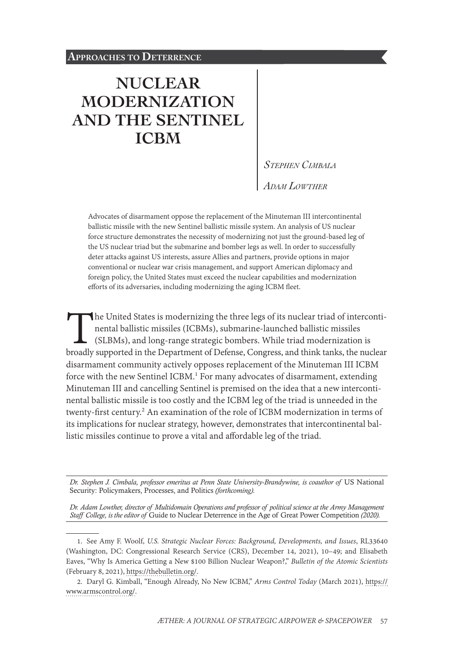# **[NUCLEAR](#page-0-0)  [MODERNIZATION](#page-0-0)  [AND THE SENTINEL](#page-0-0)  [ICBM](#page-0-0)**

*Stephen Cimbala Adam Lowther*

Advocates of disarmament oppose the replacement of the Minuteman III intercontinental ballistic missile with the new Sentinel ballistic missile system. An analysis of US nuclear force structure demonstrates the necessity of modernizing not just the ground-based leg of the US nuclear triad but the submarine and bomber legs as well. In order to successfully deter attacks against US interests, assure Allies and partners, provide options in major conventional or nuclear war crisis management, and support American diplomacy and foreign policy, the United States must exceed the nuclear capabilities and modernization efforts of its adversaries, including modernizing the aging ICBM fleet.

The United States is modernizing the three legs of its nuclear triad of intercontinental ballistic missiles (ICBMs), submarine-launched ballistic missiles (SLBMs), and long-range strategic bombers. While triad modernization is broadly supported in the Department of Defense, Congress, and think tanks, the nuclear disarmament community actively opposes replacement of the Minuteman III ICBM force with the new Sentinel ICBM.<sup>1</sup> For many advocates of disarmament, extending Minuteman III and cancelling Sentinel is premised on the idea that a new intercontinental ballistic missile is too costly and the ICBM leg of the triad is unneeded in the twenty-first century.<sup>2</sup> An examination of the role of ICBM modernization in terms of its implications for nuclear strategy, however, demonstrates that intercontinental ballistic missiles continue to prove a vital and affordable leg of the triad.

*Dr. Stephen J. Cimbala, professor emeritus at Penn State University-Brandywine, is coauthor of* US National Security: Policymakers, Processes, and Politics *(forthcoming).*

*Dr. Adam Lowther, director of Multidomain Operations and professor of political science at the Army Management Staff College, is the editor of* Guide to Nuclear Deterrence in the Age of Great Power Competition *(2020).*

1. See Amy F. Woolf, *U.S. Strategic Nuclear Forces: Background, Developments, and Issues*, RL33640 (Washington, DC: Congressional Research Service (CRS), December 14, 2021), 10–49; and Elisabeth Eaves, "Why Is America Getting a New \$100 Billion Nuclear Weapon?," *Bulletin of the Atomic Scientists* (February 8, 2021), [https://thebulletin.org/](https://thebulletin.org/2021/02/why-is-america-getting-a-new-100-billion-nuclear-weapon/).

<span id="page-0-0"></span>2. Daryl G. Kimball, "Enough Already, No New ICBM," *Arms Control Today* (March 2021), [https://](https://www.armscontrol.org/act/2021-03/focus/enough-already-no-new-icbms) [www.armscontrol.org/](https://www.armscontrol.org/act/2021-03/focus/enough-already-no-new-icbms).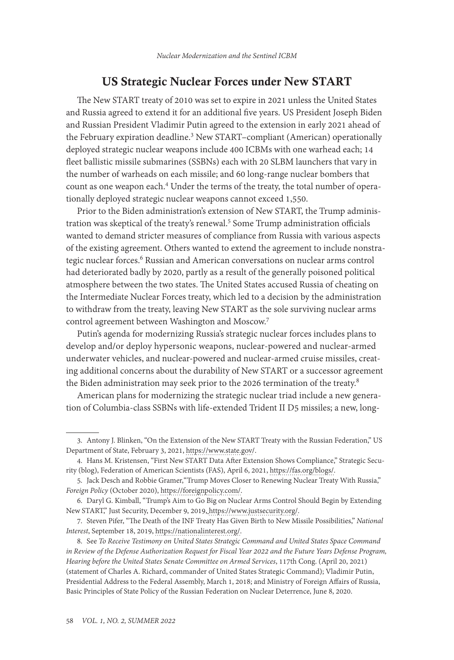#### US Strategic Nuclear Forces under New START

The New START treaty of 2010 was set to expire in 2021 unless the United States and Russia agreed to extend it for an additional five years. US President Joseph Biden and Russian President Vladimir Putin agreed to the extension in early 2021 ahead of the February expiration deadline.<sup>3</sup> New START-compliant (American) operationally deployed strategic nuclear weapons include 400 ICBMs with one warhead each; 14 fleet ballistic missile submarines (SSBNs) each with 20 SLBM launchers that vary in the number of warheads on each missile; and 60 long-range nuclear bombers that count as one weapon each.<sup>4</sup> Under the terms of the treaty, the total number of operationally deployed strategic nuclear weapons cannot exceed 1,550.

Prior to the Biden administration's extension of New START, the Trump administration was skeptical of the treaty's renewal.<sup>5</sup> Some Trump administration officials wanted to demand stricter measures of compliance from Russia with various aspects of the existing agreement. Others wanted to extend the agreement to include nonstrategic nuclear forces.6 Russian and American conversations on nuclear arms control had deteriorated badly by 2020, partly as a result of the generally poisoned political atmosphere between the two states. The United States accused Russia of cheating on the Intermediate Nuclear Forces treaty, which led to a decision by the administration to withdraw from the treaty, leaving New START as the sole surviving nuclear arms control agreement between Washington and Moscow.7

Putin's agenda for modernizing Russia's strategic nuclear forces includes plans to develop and/or deploy hypersonic weapons, nuclear-powered and nuclear-armed underwater vehicles, and nuclear-powered and nuclear-armed cruise missiles, creating additional concerns about the durability of New START or a successor agreement the Biden administration may seek prior to the 2026 termination of the treaty.<sup>8</sup>

American plans for modernizing the strategic nuclear triad include a new generation of Columbia-class SSBNs with life-extended Trident II D5 missiles; a new, long-

<sup>3.</sup> Antony J. Blinken, "On the Extension of the New START Treaty with the Russian Federation," US Department of State, February 3, 2021, [https://www.state.gov/.](https://www.state.gov/on-the-extension-of-the-new-start-treaty-with-the-russian-federation/)

<sup>4.</sup> Hans M. Kristensen, "First New START Data After Extension Shows Compliance," Strategic Security (blog), Federation of American Scientists (FAS), April 6, 2021, [https://fas.org/blogs/](https://fas.org/blogs/security/2021/04/new-start-data-2021/).

<sup>5.</sup> Jack Desch and Robbie Gramer,"Trump Moves Closer to Renewing Nuclear Treaty With Russia," *Foreign Policy* (October 2020), [https://foreignpolicy.com/.](https://foreignpolicy.com/2020/10/20/trump-putin-new-start-nuclear-arms-control-treaty/)

<sup>6.</sup> Daryl G. Kimball, "Trump's Aim to Go Big on Nuclear Arms Control Should Begin by Extending New START," Just Security, December 9, 2019, [https://www.justsecurity.org/.](https://www.justsecurity.org/67666/trumps-aim-to-go-big-on-nuclear-arms-control-should-begin-by-extending-new-start/)

<sup>7.</sup> Steven Pifer, "The Death of the INF Treaty Has Given Birth to New Missile Possibilities," *National Interest*, September 18, 2019, [https://nationalinterest.org/.](https://nationalinterest.org/feature/death-inf-treaty-has-given-birth-new-missile-possibilities-81546)

<sup>8.</sup> See *To Receive Testimony on United States Strategic Command and United States Space Command in Review of the Defense Authorization Request for Fiscal Year 2022 and the Future Years Defense Program, Hearing before the United States Senate Committee on Armed Services*, 117th Cong. (April 20, 2021) (statement of Charles A. Richard, commander of United States Strategic Command); Vladimir Putin, Presidential Address to the Federal Assembly, March 1, 2018; and Ministry of Foreign Affairs of Russia, Basic Principles of State Policy of the Russian Federation on Nuclear Deterrence, June 8, 2020.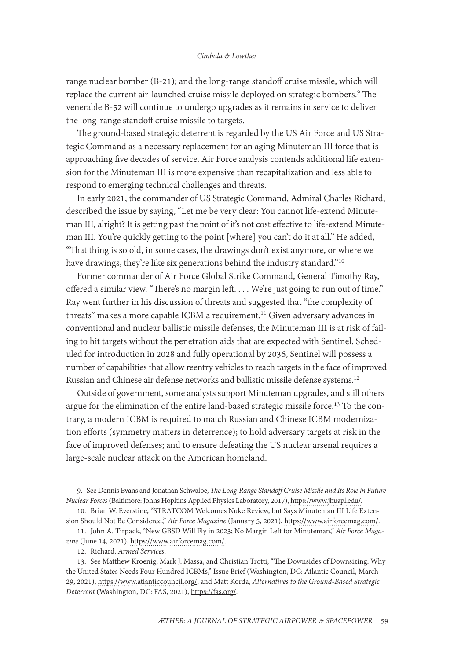range nuclear bomber (B-21); and the long-range standoff cruise missile, which will replace the current air-launched cruise missile deployed on strategic bombers.9 The venerable B-52 will continue to undergo upgrades as it remains in service to deliver the long-range standoff cruise missile to targets.

The ground-based strategic deterrent is regarded by the US Air Force and US Strategic Command as a necessary replacement for an aging Minuteman III force that is approaching five decades of service. Air Force analysis contends additional life extension for the Minuteman III is more expensive than recapitalization and less able to respond to emerging technical challenges and threats.

In early 2021, the commander of US Strategic Command, Admiral Charles Richard, described the issue by saying, "Let me be very clear: You cannot life-extend Minuteman III, alright? It is getting past the point of it's not cost effective to life-extend Minuteman III. You're quickly getting to the point [where] you can't do it at all." He added, "That thing is so old, in some cases, the drawings don't exist anymore, or where we have drawings, they're like six generations behind the industry standard."<sup>10</sup>

Former commander of Air Force Global Strike Command, General Timothy Ray, offered a similar view. "There's no margin left. . . . We're just going to run out of time." Ray went further in his discussion of threats and suggested that "the complexity of threats" makes a more capable ICBM a requirement.<sup>11</sup> Given adversary advances in conventional and nuclear ballistic missile defenses, the Minuteman III is at risk of failing to hit targets without the penetration aids that are expected with Sentinel. Scheduled for introduction in 2028 and fully operational by 2036, Sentinel will possess a number of capabilities that allow reentry vehicles to reach targets in the face of improved Russian and Chinese air defense networks and ballistic missile defense systems.<sup>12</sup>

Outside of government, some analysts support Minuteman upgrades, and still others argue for the elimination of the entire land-based strategic missile force.<sup>13</sup> To the contrary, a modern ICBM is required to match Russian and Chinese ICBM modernization efforts (symmetry matters in deterrence); to hold adversary targets at risk in the face of improved defenses; and to ensure defeating the US nuclear arsenal requires a large-scale nuclear attack on the American homeland.

<sup>9.</sup> See Dennis Evans and Jonathan Schwalbe, *The Long-Range Standoff Cruise Missile and Its Role in Future Nuclear Forces* (Baltimore: Johns Hopkins Applied Physics Laboratory, 2017), [https://www.jhuapl.edu/.](https://www.jhuapl.edu/content/documents/lrso.pdf)

<sup>10.</sup> Brian W. Everstine, "STRATCOM Welcomes Nuke Review, but Says Minuteman III Life Extension Should Not Be Considered," *Air Force Magazine* (January 5, 2021), [https://www.airforcemag.com/.](https://www.airforcemag.com/stratcom-welcomes-nuke-review-but-minuteman-iii-life-extension-should-not-be-considered/)

<sup>11.</sup> John A. Tirpack, "New GBSD Will Fly in 2023; No Margin Left for Minuteman," *Air Force Magazine* (June 14, 2021), [https://www.airforcemag.com/.](https://www.airforcemag.com/new-gbsd-will-fly-in-2023-no-margin-left-for-minuteman/)

<sup>12.</sup> Richard, *Armed Services*.

<sup>13.</sup> See Matthew Kroenig, Mark J. Massa, and Christian Trotti, "The Downsides of Downsizing: Why the United States Needs Four Hundred ICBMs," Issue Brief (Washington, DC: Atlantic Council, March 29, 2021), [https://www.atlanticcouncil.org/](https://www.atlanticcouncil.org/in-depth-research-reports/issue-brief/the-downsides-of-downsizing-why-the-united-states-needs-four-hundred-icbms/); and Matt Korda, *Alternatives to the Ground-Based Strategic Deterrent* (Washington, DC: FAS, 2021), [https://fas.org/.](https://fas.org/pub-reports/alternatives-to-gbsd/)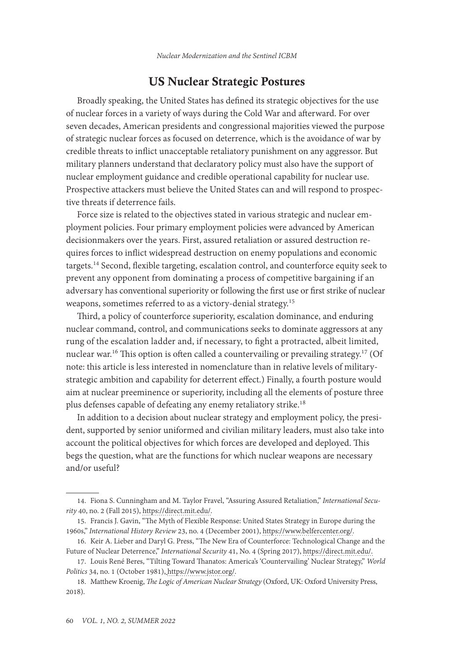## US Nuclear Strategic Postures

Broadly speaking, the United States has defined its strategic objectives for the use of nuclear forces in a variety of ways during the Cold War and afterward. For over seven decades, American presidents and congressional majorities viewed the purpose of strategic nuclear forces as focused on deterrence, which is the avoidance of war by credible threats to inflict unacceptable retaliatory punishment on any aggressor. But military planners understand that declaratory policy must also have the support of nuclear employment guidance and credible operational capability for nuclear use. Prospective attackers must believe the United States can and will respond to prospective threats if deterrence fails.

Force size is related to the objectives stated in various strategic and nuclear employment policies. Four primary employment policies were advanced by American decisionmakers over the years. First, assured retaliation or assured destruction requires forces to inflict widespread destruction on enemy populations and economic targets.14 Second, flexible targeting, escalation control, and counterforce equity seek to prevent any opponent from dominating a process of competitive bargaining if an adversary has conventional superiority or following the first use or first strike of nuclear weapons, sometimes referred to as a victory-denial strategy.15

Third, a policy of counterforce superiority, escalation dominance, and enduring nuclear command, control, and communications seeks to dominate aggressors at any rung of the escalation ladder and, if necessary, to fight a protracted, albeit limited, nuclear war.<sup>16</sup> This option is often called a countervailing or prevailing strategy.<sup>17</sup> (Of note: this article is less interested in nomenclature than in relative levels of militarystrategic ambition and capability for deterrent effect.) Finally, a fourth posture would aim at nuclear preeminence or superiority, including all the elements of posture three plus defenses capable of defeating any enemy retaliatory strike.18

In addition to a decision about nuclear strategy and employment policy, the president, supported by senior uniformed and civilian military leaders, must also take into account the political objectives for which forces are developed and deployed. This begs the question, what are the functions for which nuclear weapons are necessary and/or useful?

<sup>14.</sup> Fiona S. Cunningham and M. Taylor Fravel, "Assuring Assured Retaliation," *International Security* 40, no. 2 (Fall 2015), [https://direct.mit.edu/.](https://direct.mit.edu/isec/article-abstract/40/2/7/12274/Assuring-Assured-Retaliation-China-s-Nuclear?redirectedFrom=fulltext)

<sup>15.</sup> Francis J. Gavin, "The Myth of Flexible Response: United States Strategy in Europe during the 1960s," *International History Review* 23, no. 4 (December 2001), [https://www.belfercenter.org/.](https://www.belfercenter.org/sites/default/files/legacy/files/CMC50/FrancisGavinTheMythOfFlexibleResponseUnitedStatesStrategyInEuropeDuringThe1960sInternationalHistoryReview.pdf)

<sup>16.</sup> Keir A. Lieber and Daryl G. Press, "The New Era of Counterforce: Technological Change and the Future of Nuclear Deterrence," *International Security* 41, No. 4 (Spring 2017), [https://direct.mit.edu/.](https://direct.mit.edu/isec/article/41/4/9/12158/The-New-Era-of-Counterforce-Technological-Change)

<sup>17.</sup> Louis René Beres, "Tilting Toward Thanatos: America's 'Countervailing' Nuclear Strategy," *World Politics* 34, no. 1 (October 1981), [https://www.jstor.org/](https://www.jstor.org/stable/2010149).

<sup>18.</sup> Matthew Kroenig, *The Logic of American Nuclear Strategy* (Oxford, UK: Oxford University Press, 2018).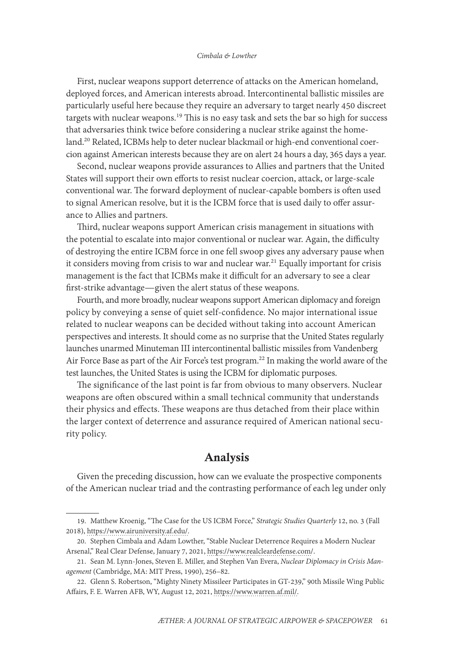#### *Cimbala & Lowther*

First, nuclear weapons support deterrence of attacks on the American homeland, deployed forces, and American interests abroad. Intercontinental ballistic missiles are particularly useful here because they require an adversary to target nearly 450 discreet targets with nuclear weapons.19 This is no easy task and sets the bar so high for success that adversaries think twice before considering a nuclear strike against the homeland.<sup>20</sup> Related, ICBMs help to deter nuclear blackmail or high-end conventional coercion against American interests because they are on alert 24 hours a day, 365 days a year.

Second, nuclear weapons provide assurances to Allies and partners that the United States will support their own efforts to resist nuclear coercion, attack, or large-scale conventional war. The forward deployment of nuclear-capable bombers is often used to signal American resolve, but it is the ICBM force that is used daily to offer assurance to Allies and partners.

Third, nuclear weapons support American crisis management in situations with the potential to escalate into major conventional or nuclear war. Again, the difficulty of destroying the entire ICBM force in one fell swoop gives any adversary pause when it considers moving from crisis to war and nuclear war.<sup>21</sup> Equally important for crisis management is the fact that ICBMs make it difficult for an adversary to see a clear first-strike advantage—given the alert status of these weapons.

Fourth, and more broadly, nuclear weapons support American diplomacy and foreign policy by conveying a sense of quiet self-confidence. No major international issue related to nuclear weapons can be decided without taking into account American perspectives and interests. It should come as no surprise that the United States regularly launches unarmed Minuteman III intercontinental ballistic missiles from Vandenberg Air Force Base as part of the Air Force's test program.<sup>22</sup> In making the world aware of the test launches, the United States is using the ICBM for diplomatic purposes.

The significance of the last point is far from obvious to many observers. Nuclear weapons are often obscured within a small technical community that understands their physics and effects. These weapons are thus detached from their place within the larger context of deterrence and assurance required of American national security policy.

## Analysis

Given the preceding discussion, how can we evaluate the prospective components of the American nuclear triad and the contrasting performance of each leg under only

<sup>19.</sup> Matthew Kroenig, "The Case for the US ICBM Force," *Strategic Studies Quarterly* 12, no. 3 (Fall 2018), [https://www.airuniversity.af.edu/.](https://www.airuniversity.af.edu/Portals/10/SSQ/documents/Volume-12_Issue-3/Kroenig.pdf)

<sup>20.</sup> Stephen Cimbala and Adam Lowther, "Stable Nuclear Deterrence Requires a Modern Nuclear Arsenal," Real Clear Defense, January 7, 2021, [https://www.realcleardefense.com/.](https://www.realcleardefense.com/articles/2021/01/07/stable_nuclear_deterrence_requires_a_modern_nuclear_arsenal_655618.html)

<sup>21.</sup> Sean M. Lynn-Jones, Steven E. Miller, and Stephen Van Evera, *Nuclear Diplomacy in Crisis Management* (Cambridge, MA: MIT Press, 1990), 256–82.

<sup>22.</sup> Glenn S. Robertson, "Mighty Ninety Missileer Participates in GT-239," 90th Missile Wing Public Affairs, F. E. Warren AFB, WY, August 12, 2021, [https://www.warren.af.mil/](https://www.warren.af.mil/News/Article/2722980/mighty-ninety-missileer-participates-in-gt-239/).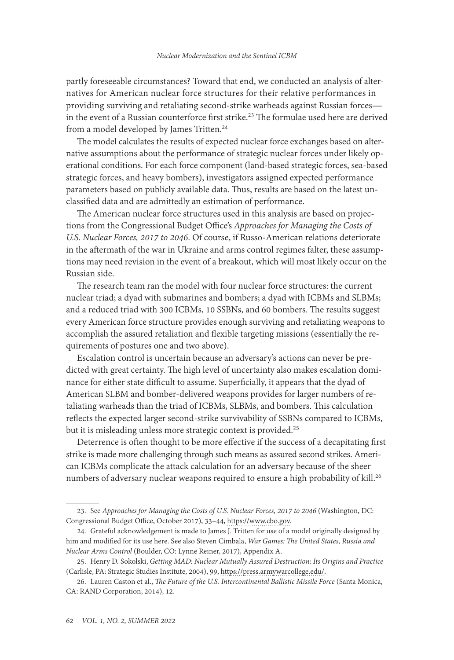partly foreseeable circumstances? Toward that end, we conducted an analysis of alternatives for American nuclear force structures for their relative performances in providing surviving and retaliating second-strike warheads against Russian forces in the event of a Russian counterforce first strike.<sup>23</sup> The formulae used here are derived from a model developed by James Tritten.<sup>24</sup>

The model calculates the results of expected nuclear force exchanges based on alternative assumptions about the performance of strategic nuclear forces under likely operational conditions. For each force component (land-based strategic forces, sea-based strategic forces, and heavy bombers), investigators assigned expected performance parameters based on publicly available data. Thus, results are based on the latest unclassified data and are admittedly an estimation of performance.

The American nuclear force structures used in this analysis are based on projections from the Congressional Budget Office's *Approaches for Managing the Costs of U.S. Nuclear Forces, 2017 to 2046*. Of course, if Russo-American relations deteriorate in the aftermath of the war in Ukraine and arms control regimes falter, these assumptions may need revision in the event of a breakout, which will most likely occur on the Russian side.

The research team ran the model with four nuclear force structures: the current nuclear triad; a dyad with submarines and bombers; a dyad with ICBMs and SLBMs; and a reduced triad with 300 ICBMs, 10 SSBNs, and 60 bombers. The results suggest every American force structure provides enough surviving and retaliating weapons to accomplish the assured retaliation and flexible targeting missions (essentially the requirements of postures one and two above).

Escalation control is uncertain because an adversary's actions can never be predicted with great certainty. The high level of uncertainty also makes escalation dominance for either state difficult to assume. Superficially, it appears that the dyad of American SLBM and bomber-delivered weapons provides for larger numbers of retaliating warheads than the triad of ICBMs, SLBMs, and bombers. This calculation reflects the expected larger second-strike survivability of SSBNs compared to ICBMs, but it is misleading unless more strategic context is provided.<sup>25</sup>

Deterrence is often thought to be more effective if the success of a decapitating first strike is made more challenging through such means as assured second strikes. American ICBMs complicate the attack calculation for an adversary because of the sheer numbers of adversary nuclear weapons required to ensure a high probability of kill.<sup>26</sup>

<sup>23.</sup> See *Approaches for Managing the Costs of U.S. Nuclear Forces, 2017 to 2046* (Washington, DC: Congressional Budget Office, October 2017), 33–44, [https://www.cbo.gov](https://www.cbo.gov/system/files/115th-congress-2017-2018/reports/53211-nuclearforces.pdf).

<sup>24.</sup> Grateful acknowledgement is made to James J. Tritten for use of a model originally designed by him and modified for its use here. See also Steven Cimbala, *War Games: The United States, Russia and Nuclear Arms Control* (Boulder, CO: Lynne Reiner, 2017), Appendix A.

<sup>25.</sup> Henry D. Sokolski, *Getting MAD: Nuclear Mutually Assured Destruction: Its Origins and Practice* (Carlisle, PA: Strategic Studies Institute, 2004), 99, [https://press.armywarcollege.edu/.](https://press.armywarcollege.edu/monographs/32/)

<sup>26.</sup> Lauren Caston et al., *The Future of the U.S. Intercontinental Ballistic Missile Force* (Santa Monica, CA: RAND Corporation, 2014), 12.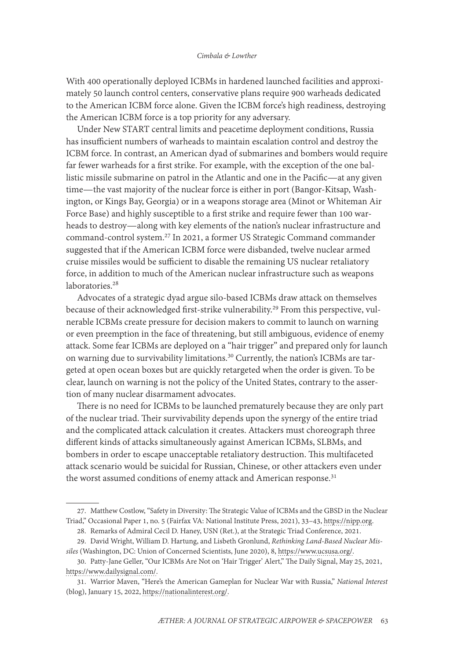With 400 operationally deployed ICBMs in hardened launched facilities and approximately 50 launch control centers, conservative plans require 900 warheads dedicated to the American ICBM force alone. Given the ICBM force's high readiness, destroying the American ICBM force is a top priority for any adversary.

Under New START central limits and peacetime deployment conditions, Russia has insufficient numbers of warheads to maintain escalation control and destroy the ICBM force. In contrast, an American dyad of submarines and bombers would require far fewer warheads for a first strike. For example, with the exception of the one ballistic missile submarine on patrol in the Atlantic and one in the Pacific—at any given time—the vast majority of the nuclear force is either in port (Bangor-Kitsap, Washington, or Kings Bay, Georgia) or in a weapons storage area (Minot or Whiteman Air Force Base) and highly susceptible to a first strike and require fewer than 100 warheads to destroy—along with key elements of the nation's nuclear infrastructure and command-control system.27 In 2021, a former US Strategic Command commander suggested that if the American ICBM force were disbanded, twelve nuclear armed cruise missiles would be sufficient to disable the remaining US nuclear retaliatory force, in addition to much of the American nuclear infrastructure such as weapons laboratories.<sup>28</sup>

Advocates of a strategic dyad argue silo-based ICBMs draw attack on themselves because of their acknowledged first-strike vulnerability.<sup>29</sup> From this perspective, vulnerable ICBMs create pressure for decision makers to commit to launch on warning or even preemption in the face of threatening, but still ambiguous, evidence of enemy attack. Some fear ICBMs are deployed on a "hair trigger" and prepared only for launch on warning due to survivability limitations.<sup>30</sup> Currently, the nation's ICBMs are targeted at open ocean boxes but are quickly retargeted when the order is given. To be clear, launch on warning is not the policy of the United States, contrary to the assertion of many nuclear disarmament advocates.

There is no need for ICBMs to be launched prematurely because they are only part of the nuclear triad. Their survivability depends upon the synergy of the entire triad and the complicated attack calculation it creates. Attackers must choreograph three different kinds of attacks simultaneously against American ICBMs, SLBMs, and bombers in order to escape unacceptable retaliatory destruction. This multifaceted attack scenario would be suicidal for Russian, Chinese, or other attackers even under the worst assumed conditions of enemy attack and American response.<sup>31</sup>

<sup>27.</sup> Matthew Costlow, "Safety in Diversity: The Strategic Value of ICBMs and the GBSD in the Nuclear Triad," Occasional Paper 1, no. 5 (Fairfax VA: National Institute Press, 2021), 33–43, [https://nipp.org.](https://nipp.org/wp-content/uploads/2021/04/OP-5-Binder-for-web.pdf)

<sup>28.</sup> Remarks of Admiral Cecil D. Haney, USN (Ret.), at the Strategic Triad Conference, 2021. 29. David Wright, William D. Hartung, and Lisbeth Gronlund, *Rethinking Land-Based Nuclear Mis-*

*siles* (Washington, DC: Union of Concerned Scientists, June 2020), 8, [https://www.ucsusa.org/.](https://www.ucsusa.org/sites/default/files/2020-06/rethinking-land-based-nuclear-missiles.pdf)

<sup>30.</sup> Patty-Jane Geller, "Our ICBMs Are Not on 'Hair Trigger' Alert," The Daily Signal, May 25, 2021, [https://www.dailysignal.com/](https://www.dailysignal.com/2021/05/25/our-icbms-are-not-on-hair-trigger-alert/).

<sup>31.</sup> Warrior Maven, "Here's the American Gameplan for Nuclear War with Russia," *National Interest* (blog), January 15, 2022, [https://nationalinterest.org/](https://nationalinterest.org/blog/reboot/heres-american-gameplan-nuclear-war-russia-199451).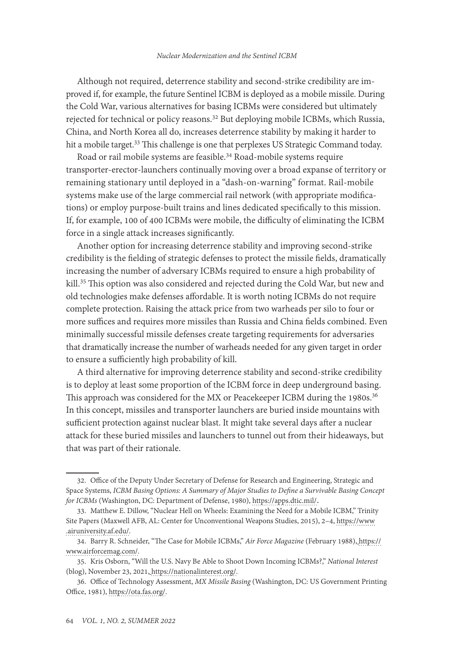Although not required, deterrence stability and second-strike credibility are improved if, for example, the future Sentinel ICBM is deployed as a mobile missile. During the Cold War, various alternatives for basing ICBMs were considered but ultimately rejected for technical or policy reasons.<sup>32</sup> But deploying mobile ICBMs, which Russia, China, and North Korea all do, increases deterrence stability by making it harder to hit a mobile target.<sup>33</sup> This challenge is one that perplexes US Strategic Command today.

Road or rail mobile systems are feasible.<sup>34</sup> Road-mobile systems require transporter-erector-launchers continually moving over a broad expanse of territory or remaining stationary until deployed in a "dash-on-warning" format. Rail-mobile systems make use of the large commercial rail network (with appropriate modifications) or employ purpose-built trains and lines dedicated specifically to this mission. If, for example, 100 of 400 ICBMs were mobile, the difficulty of eliminating the ICBM force in a single attack increases significantly.

Another option for increasing deterrence stability and improving second-strike credibility is the fielding of strategic defenses to protect the missile fields, dramatically increasing the number of adversary ICBMs required to ensure a high probability of kill.<sup>35</sup> This option was also considered and rejected during the Cold War, but new and old technologies make defenses affordable. It is worth noting ICBMs do not require complete protection. Raising the attack price from two warheads per silo to four or more suffices and requires more missiles than Russia and China fields combined. Even minimally successful missile defenses create targeting requirements for adversaries that dramatically increase the number of warheads needed for any given target in order to ensure a sufficiently high probability of kill.

A third alternative for improving deterrence stability and second-strike credibility is to deploy at least some proportion of the ICBM force in deep underground basing. This approach was considered for the MX or Peacekeeper ICBM during the 1980s.<sup>36</sup> In this concept, missiles and transporter launchers are buried inside mountains with sufficient protection against nuclear blast. It might take several days after a nuclear attack for these buried missiles and launchers to tunnel out from their hideaways, but that was part of their rationale.

<sup>32.</sup> Office of the Deputy Under Secretary of Defense for Research and Engineering, Strategic and Space Systems, *ICBM Basing Options: A Summary of Major Studies to Define a Survivable Basing Concept for ICBMs* (Washington, DC: Department of Defense, 1980), [https://apps.dtic.mil/](https://apps.dtic.mil/sti/pdfs/ADA956443.pdf).

<sup>33.</sup> Matthew E. Dillow, "Nuclear Hell on Wheels: Examining the Need for a Mobile ICBM," Trinity Site Papers (Maxwell AFB, AL: Center for Unconventional Weapons Studies, 2015), 2–4, [https://www](https://www.airuniversity.af.edu/Portals/10/CSDS/assets/trinity_site_paper5.pdf) [.airuniversity.af.edu/.](https://www.airuniversity.af.edu/Portals/10/CSDS/assets/trinity_site_paper5.pdf)

<sup>34.</sup> Barry R. Schneider, "The Case for Mobile ICBMs," *Air Force Magazine* (February 1988), [https://](https://www.airforcemag.com/article/0288sicbm/) [www.airforcemag.com/](https://www.airforcemag.com/article/0288sicbm/).

<sup>35.</sup> Kris Osborn, "Will the U.S. Navy Be Able to Shoot Down Incoming ICBMs?," *National Interest* (blog), November 23, 2021, [https://nationalinterest.org/.](https://nationalinterest.org/blog/reboot/will-us-navy-be-able-shoot-down-incoming-icbms-196673)

<sup>36.</sup> Office of Technology Assessment, *MX Missile Basing* (Washington, DC: US Government Printing Office, 1981), [https://ota.fas.org/](https://ota.fas.org/reports/8116.pdf).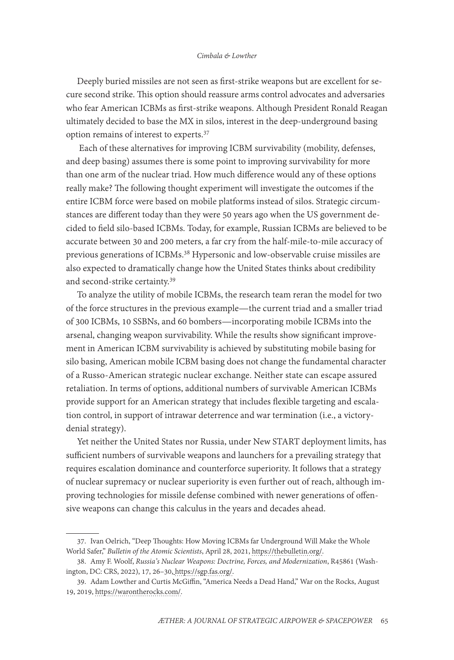Deeply buried missiles are not seen as first-strike weapons but are excellent for secure second strike. This option should reassure arms control advocates and adversaries who fear American ICBMs as first-strike weapons. Although President Ronald Reagan ultimately decided to base the MX in silos, interest in the deep-underground basing option remains of interest to experts.37

 Each of these alternatives for improving ICBM survivability (mobility, defenses, and deep basing) assumes there is some point to improving survivability for more than one arm of the nuclear triad. How much difference would any of these options really make? The following thought experiment will investigate the outcomes if the entire ICBM force were based on mobile platforms instead of silos. Strategic circumstances are different today than they were 50 years ago when the US government decided to field silo-based ICBMs. Today, for example, Russian ICBMs are believed to be accurate between 30 and 200 meters, a far cry from the half-mile-to-mile accuracy of previous generations of ICBMs.38 Hypersonic and low-observable cruise missiles are also expected to dramatically change how the United States thinks about credibility and second-strike certainty.<sup>39</sup>

To analyze the utility of mobile ICBMs, the research team reran the model for two of the force structures in the previous example—the current triad and a smaller triad of 300 ICBMs, 10 SSBNs, and 60 bombers—incorporating mobile ICBMs into the arsenal, changing weapon survivability. While the results show significant improvement in American ICBM survivability is achieved by substituting mobile basing for silo basing, American mobile ICBM basing does not change the fundamental character of a Russo-American strategic nuclear exchange. Neither state can escape assured retaliation. In terms of options, additional numbers of survivable American ICBMs provide support for an American strategy that includes flexible targeting and escalation control, in support of intrawar deterrence and war termination (i.e., a victorydenial strategy).

Yet neither the United States nor Russia, under New START deployment limits, has sufficient numbers of survivable weapons and launchers for a prevailing strategy that requires escalation dominance and counterforce superiority. It follows that a strategy of nuclear supremacy or nuclear superiority is even further out of reach, although improving technologies for missile defense combined with newer generations of offensive weapons can change this calculus in the years and decades ahead.

<sup>37.</sup> Ivan Oelrich, "Deep Thoughts: How Moving ICBMs far Underground Will Make the Whole World Safer," *Bulletin of the Atomic Scientists*, April 28, 2021, [https://thebulletin.org/](https://thebulletin.org/2021/04/deep-thoughts-how-moving-icbms-far-underground-will-make-the-whole-world-safer/).

<sup>38.</sup> Amy F. Woolf, *Russia's Nuclear Weapons: Doctrine, Forces, and Modernization*, R45861 (Washington, DC: CRS, 2022), 17, 26–30, [https://sgp.fas.org/](https://sgp.fas.org/crs/nuke/R45861.pdf).

<sup>39.</sup> Adam Lowther and Curtis McGiffin, "America Needs a Dead Hand," War on the Rocks, August 19, 2019, [https://warontherocks.com/](https://warontherocks.com/2019/08/america-needs-a-dead-hand/).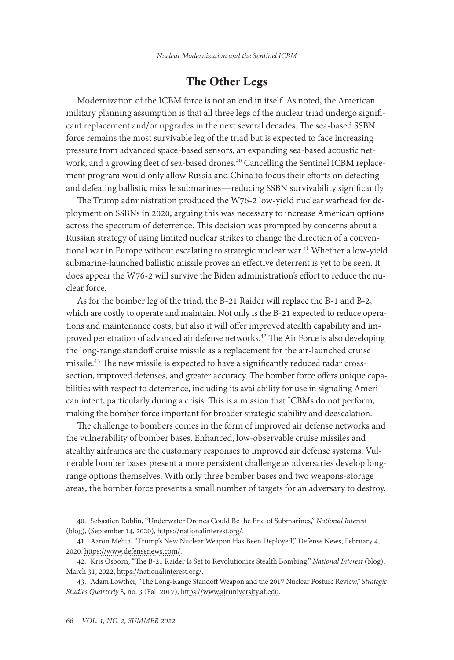## The Other Legs

Modernization of the ICBM force is not an end in itself. As noted, the American military planning assumption is that all three legs of the nuclear triad undergo significant replacement and/or upgrades in the next several decades. The sea-based SSBN force remains the most survivable leg of the triad but is expected to face increasing pressure from advanced space-based sensors, an expanding sea-based acoustic network, and a growing fleet of sea-based drones.<sup>40</sup> Cancelling the Sentinel ICBM replacement program would only allow Russia and China to focus their efforts on detecting and defeating ballistic missile submarines—reducing SSBN survivability significantly.

The Trump administration produced the W76-2 low-yield nuclear warhead for deployment on SSBNs in 2020, arguing this was necessary to increase American options across the spectrum of deterrence. This decision was prompted by concerns about a Russian strategy of using limited nuclear strikes to change the direction of a conventional war in Europe without escalating to strategic nuclear war.<sup>41</sup> Whether a low-yield submarine-launched ballistic missile proves an effective deterrent is yet to be seen. It does appear the W76-2 will survive the Biden administration's effort to reduce the nuclear force.

As for the bomber leg of the triad, the B-21 Raider will replace the B-1 and B-2, which are costly to operate and maintain. Not only is the B-21 expected to reduce operations and maintenance costs, but also it will offer improved stealth capability and improved penetration of advanced air defense networks.<sup>42</sup> The Air Force is also developing the long-range standoff cruise missile as a replacement for the air-launched cruise missile.43 The new missile is expected to have a significantly reduced radar crosssection, improved defenses, and greater accuracy. The bomber force offers unique capabilities with respect to deterrence, including its availability for use in signaling American intent, particularly during a crisis. This is a mission that ICBMs do not perform, making the bomber force important for broader strategic stability and deescalation.

The challenge to bombers comes in the form of improved air defense networks and the vulnerability of bomber bases. Enhanced, low-observable cruise missiles and stealthy airframes are the customary responses to improved air defense systems. Vulnerable bomber bases present a more persistent challenge as adversaries develop longrange options themselves. With only three bomber bases and two weapons-storage areas, the bomber force presents a small number of targets for an adversary to destroy.

<sup>40.</sup> Sebastien Roblin, "Underwater Drones Could Be the End of Submarines," *National Interest* (blog), (September 14, 2020), [https://nationalinterest.org/](https://nationalinterest.org/blog/reboot/underwater-drones-could-be-end-submarines-168940).

<sup>41.</sup> Aaron Mehta, "Trump's New Nuclear Weapon Has Been Deployed," Defense News, February 4, 2020, [https://www.defensenews.com/.](https://www.defensenews.com/smr/nuclear-arsenal/2020/02/04/trumps-new-nuclear-weapon-has-been-deployed/)

<sup>42.</sup> Kris Osborn, "The B-21 Raider Is Set to Revolutionize Stealth Bombing," *National Interest* (blog), March 31, 2022, [https://nationalinterest.org/](https://nationalinterest.org/blog/buzz/b-21-raider-set-revolutionize-stealth-bombing-201576).

<sup>43.</sup> Adam Lowther, "The Long-Range Standoff Weapon and the 2017 Nuclear Posture Review," *Strategic Studies Quarterly* 8, no. 3 (Fall 2017), [https://www.airuniversity.af.edu](https://www.airuniversity.af.edu/Portals/10/SSQ/documents/Volume-11_Issue-3/Lowther.pdf).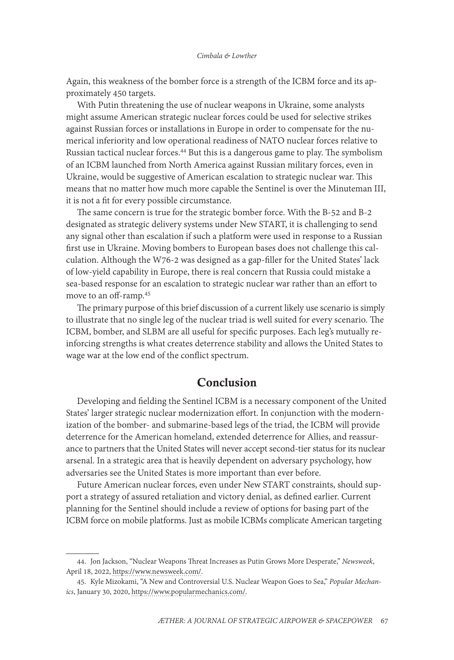Again, this weakness of the bomber force is a strength of the ICBM force and its approximately 450 targets.

With Putin threatening the use of nuclear weapons in Ukraine, some analysts might assume American strategic nuclear forces could be used for selective strikes against Russian forces or installations in Europe in order to compensate for the numerical inferiority and low operational readiness of NATO nuclear forces relative to Russian tactical nuclear forces.<sup>44</sup> But this is a dangerous game to play. The symbolism of an ICBM launched from North America against Russian military forces, even in Ukraine, would be suggestive of American escalation to strategic nuclear war. This means that no matter how much more capable the Sentinel is over the Minuteman III, it is not a fit for every possible circumstance.

The same concern is true for the strategic bomber force. With the B-52 and B-2 designated as strategic delivery systems under New START, it is challenging to send any signal other than escalation if such a platform were used in response to a Russian first use in Ukraine. Moving bombers to European bases does not challenge this calculation. Although the W76-2 was designed as a gap-filler for the United States' lack of low-yield capability in Europe, there is real concern that Russia could mistake a sea-based response for an escalation to strategic nuclear war rather than an effort to move to an off-ramp.<sup>45</sup>

The primary purpose of this brief discussion of a current likely use scenario is simply to illustrate that no single leg of the nuclear triad is well suited for every scenario. The ICBM, bomber, and SLBM are all useful for specific purposes. Each leg's mutually reinforcing strengths is what creates deterrence stability and allows the United States to wage war at the low end of the conflict spectrum.

#### Conclusion

Developing and fielding the Sentinel ICBM is a necessary component of the United States' larger strategic nuclear modernization effort. In conjunction with the modernization of the bomber- and submarine-based legs of the triad, the ICBM will provide deterrence for the American homeland, extended deterrence for Allies, and reassurance to partners that the United States will never accept second-tier status for its nuclear arsenal. In a strategic area that is heavily dependent on adversary psychology, how adversaries see the United States is more important than ever before.

Future American nuclear forces, even under New START constraints, should support a strategy of assured retaliation and victory denial, as defined earlier. Current planning for the Sentinel should include a review of options for basing part of the ICBM force on mobile platforms. Just as mobile ICBMs complicate American targeting

<sup>44.</sup> Jon Jackson, "Nuclear Weapons Threat Increases as Putin Grows More Desperate," *Newsweek*, April 18, 2022, [https://www.newsweek.com/](https://www.newsweek.com/nuclear-weapons-threat-increases-putin-grows-more-desperate-1698630).

<sup>45.</sup> Kyle Mizokami, "A New and Controversial U.S. Nuclear Weapon Goes to Sea," *Popular Mechanics*, January 30, 2020, https://www.popularmechanics.com/.